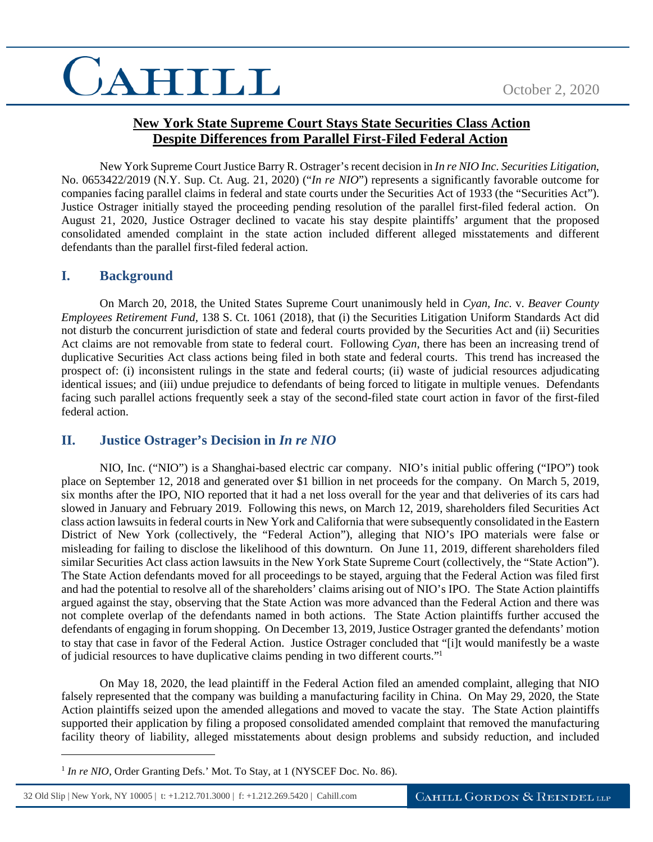# CAHILL

### **New York State Supreme Court Stays State Securities Class Action Despite Differences from Parallel First-Filed Federal Action**

New York Supreme Court Justice Barry R. Ostrager's recent decision in *In re NIO Inc. Securities Litigation*, No. 0653422/2019 (N.Y. Sup. Ct. Aug. 21, 2020) ("*In re NIO*") represents a significantly favorable outcome for companies facing parallel claims in federal and state courts under the Securities Act of 1933 (the "Securities Act"). Justice Ostrager initially stayed the proceeding pending resolution of the parallel first-filed federal action. On August 21, 2020, Justice Ostrager declined to vacate his stay despite plaintiffs' argument that the proposed consolidated amended complaint in the state action included different alleged misstatements and different defendants than the parallel first-filed federal action.

#### **I. Background**

On March 20, 2018, the United States Supreme Court unanimously held in *Cyan, Inc.* v. *Beaver County Employees Retirement Fund,* 138 S. Ct. 1061 (2018), that (i) the Securities Litigation Uniform Standards Act did not disturb the concurrent jurisdiction of state and federal courts provided by the Securities Act and (ii) Securities Act claims are not removable from state to federal court. Following *Cyan*, there has been an increasing trend of duplicative Securities Act class actions being filed in both state and federal courts. This trend has increased the prospect of: (i) inconsistent rulings in the state and federal courts; (ii) waste of judicial resources adjudicating identical issues; and (iii) undue prejudice to defendants of being forced to litigate in multiple venues. Defendants facing such parallel actions frequently seek a stay of the second-filed state court action in favor of the first-filed federal action.

### **II. Justice Ostrager's Decision in** *In re NIO*

NIO, Inc. ("NIO") is a Shanghai-based electric car company. NIO's initial public offering ("IPO") took place on September 12, 2018 and generated over \$1 billion in net proceeds for the company. On March 5, 2019, six months after the IPO, NIO reported that it had a net loss overall for the year and that deliveries of its cars had slowed in January and February 2019. Following this news, on March 12, 2019, shareholders filed Securities Act class action lawsuits in federal courts in New York and California that were subsequently consolidated in the Eastern District of New York (collectively, the "Federal Action"), alleging that NIO's IPO materials were false or misleading for failing to disclose the likelihood of this downturn. On June 11, 2019, different shareholders filed similar Securities Act class action lawsuits in the New York State Supreme Court (collectively, the "State Action"). The State Action defendants moved for all proceedings to be stayed, arguing that the Federal Action was filed first and had the potential to resolve all of the shareholders' claims arising out of NIO's IPO. The State Action plaintiffs argued against the stay, observing that the State Action was more advanced than the Federal Action and there was not complete overlap of the defendants named in both actions. The State Action plaintiffs further accused the defendants of engaging in forum shopping. On December 13, 2019, Justice Ostrager granted the defendants' motion to stay that case in favor of the Federal Action. Justice Ostrager concluded that "[i]t would manifestly be a waste of judicial resources to have duplicative claims pending in two different courts."<sup>1</sup>

On May 18, 2020, the lead plaintiff in the Federal Action filed an amended complaint, alleging that NIO falsely represented that the company was building a manufacturing facility in China. On May 29, 2020, the State Action plaintiffs seized upon the amended allegations and moved to vacate the stay. The State Action plaintiffs supported their application by filing a proposed consolidated amended complaint that removed the manufacturing facility theory of liability, alleged misstatements about design problems and subsidy reduction, and included

 $\overline{a}$ 

<sup>&</sup>lt;sup>1</sup> In re NIO, Order Granting Defs.' Mot. To Stay, at 1 (NYSCEF Doc. No. 86).